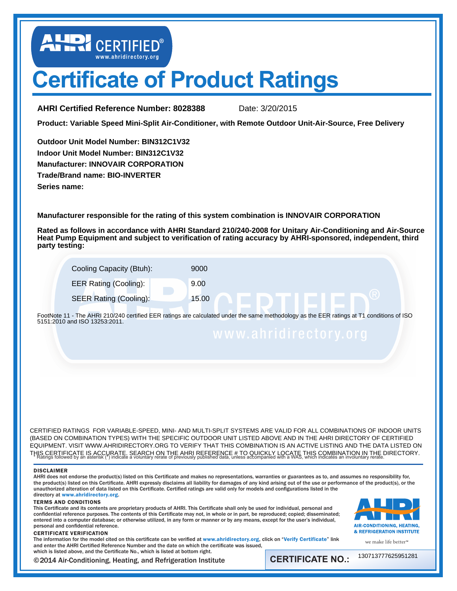LEP CERTIFIED®

# **Certificate of Product Ratings**

**AHRI Certified Reference Number: 8028388** Date: 3/20/2015

**Product: Variable Speed Mini-Split Air-Conditioner, with Remote Outdoor Unit-Air-Source, Free Delivery**

**Outdoor Unit Model Number: BIN312C1V32 Indoor Unit Model Number: BIN312C1V32 Manufacturer: INNOVAIR CORPORATION Trade/Brand name: BIO-INVERTER Series name:** 

**Manufacturer responsible for the rating of this system combination is INNOVAIR CORPORATION**

**Rated as follows in accordance with AHRI Standard 210/240-2008 for Unitary Air-Conditioning and Air-Source Heat Pump Equipment and subject to verification of rating accuracy by AHRI-sponsored, independent, third party testing:**

| Cooling Capacity (Btuh):      | 9000  |
|-------------------------------|-------|
| <b>EER Rating (Cooling):</b>  | 9.00  |
| <b>SEER Rating (Cooling):</b> | 15.00 |

FootNote 11 - The AHRI 210/240 certified EER ratings are calculated under the same methodology as the EER ratings at T1 conditions of ISO 5151:2010 and ISO 13253:2011.

† THIS CERTIFICATE IS ACCURATE. SEARCH ON THE AHRI REFERENCE # TO QUICKLY LOCATE THIS COMBINATION IN THE DIRECTORY.<br>\* Ratings followed by an asterisk (\*) indicate a voluntary rerate of previously published data, unless accom CERTIFIED RATINGS FOR VARIABLE-SPEED, MINI- AND MULTI-SPLIT SYSTEMS ARE VALID FOR ALL COMBINATIONS OF INDOOR UNITS (BASED ON COMBINATION TYPES) WITH THE SPECIFIC OUTDOOR UNIT LISTED ABOVE AND IN THE AHRI DIRECTORY OF CERTIFIED EQUIPMENT. VISIT WWW.AHRIDIRECTORY.ORG TO VERIFY THAT THIS COMBINATION IS AN ACTIVE LISTING AND THE DATA LISTED ON

#### DISCLAIMER

AHRI does not endorse the product(s) listed on this Certificate and makes no representations, warranties or guarantees as to, and assumes no responsibility for, the product(s) listed on this Certificate. AHRI expressly disclaims all liability for damages of any kind arising out of the use or performance of the product(s), or the unauthorized alteration of data listed on this Certificate. Certified ratings are valid only for models and configurations listed in the directory at <www.ahridirectory.org>.

#### TERMS AND CONDITIONS

This Certificate and its contents are proprietary products of AHRI. This Certificate shall only be used for individual, personal and confidential reference purposes. The contents of this Certificate may not, in whole or in part, be reproduced; copied; disseminated; entered into a computer database; or otherwise utilized, in any form or manner or by any means, except for the user's individual, personal and confidential reference.



#### CERTIFICATE VERIFICATION

we make life better<sup>™</sup>

The information for the model cited on this certificate can be verified at <www.ahridirectory.org>, click on "[Verify Certificate](http://www.ahridirectory.org/ahridirectory/pages/VerifyCertificate.aspx)" link and enter the AHRI Certified Reference Number and the date on which the certificate was issued, which is listed above, and the Certificate No., which is listed at bottom right.

©2014 Air-Conditioning, Heating, and Refrigeration Institute

**CERTIFICATE NO.:**

130713777625951281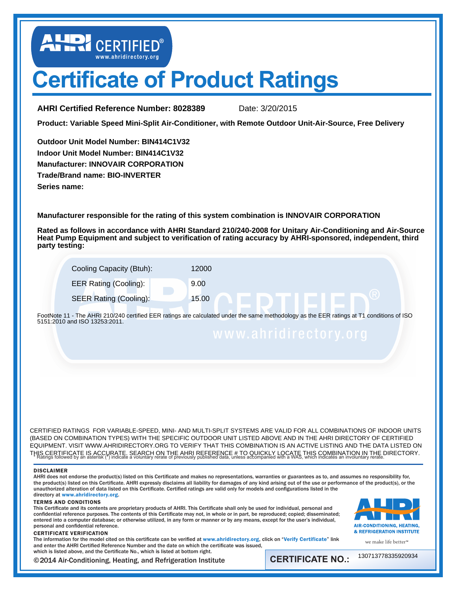LEP CERTIFIED®

# **Certificate of Product Ratings**

**AHRI Certified Reference Number: 8028389** Date: 3/20/2015

**Product: Variable Speed Mini-Split Air-Conditioner, with Remote Outdoor Unit-Air-Source, Free Delivery**

**Outdoor Unit Model Number: BIN414C1V32 Indoor Unit Model Number: BIN414C1V32 Manufacturer: INNOVAIR CORPORATION Trade/Brand name: BIO-INVERTER Series name:** 

**Manufacturer responsible for the rating of this system combination is INNOVAIR CORPORATION**

**Rated as follows in accordance with AHRI Standard 210/240-2008 for Unitary Air-Conditioning and Air-Source Heat Pump Equipment and subject to verification of rating accuracy by AHRI-sponsored, independent, third party testing:**

| Cooling Capacity (Btuh):      | 12000 |
|-------------------------------|-------|
| <b>EER Rating (Cooling):</b>  | 9.00  |
| <b>SEER Rating (Cooling):</b> | 15.00 |

FootNote 11 - The AHRI 210/240 certified EER ratings are calculated under the same methodology as the EER ratings at T1 conditions of ISO 5151:2010 and ISO 13253:2011.

† THIS CERTIFICATE IS ACCURATE. SEARCH ON THE AHRI REFERENCE # TO QUICKLY LOCATE THIS COMBINATION IN THE DIRECTORY.<br>\* Ratings followed by an asterisk (\*) indicate a voluntary rerate of previously published data, unless accom CERTIFIED RATINGS FOR VARIABLE-SPEED, MINI- AND MULTI-SPLIT SYSTEMS ARE VALID FOR ALL COMBINATIONS OF INDOOR UNITS (BASED ON COMBINATION TYPES) WITH THE SPECIFIC OUTDOOR UNIT LISTED ABOVE AND IN THE AHRI DIRECTORY OF CERTIFIED EQUIPMENT. VISIT WWW.AHRIDIRECTORY.ORG TO VERIFY THAT THIS COMBINATION IS AN ACTIVE LISTING AND THE DATA LISTED ON

#### DISCLAIMER

AHRI does not endorse the product(s) listed on this Certificate and makes no representations, warranties or guarantees as to, and assumes no responsibility for, the product(s) listed on this Certificate. AHRI expressly disclaims all liability for damages of any kind arising out of the use or performance of the product(s), or the unauthorized alteration of data listed on this Certificate. Certified ratings are valid only for models and configurations listed in the directory at <www.ahridirectory.org>.

#### TERMS AND CONDITIONS

This Certificate and its contents are proprietary products of AHRI. This Certificate shall only be used for individual, personal and confidential reference purposes. The contents of this Certificate may not, in whole or in part, be reproduced; copied; disseminated; entered into a computer database; or otherwise utilized, in any form or manner or by any means, except for the user's individual, personal and confidential reference.





The information for the model cited on this certificate can be verified at <www.ahridirectory.org>, click on "[Verify Certificate](http://www.ahridirectory.org/ahridirectory/pages/VerifyCertificate.aspx)" link and enter the AHRI Certified Reference Number and the date on which the certificate was issued, which is listed above, and the Certificate No., which is listed at bottom right.

©2014 Air-Conditioning, Heating, and Refrigeration Institute

**CERTIFICATE NO.:**

we make life better<sup>™</sup> 130713778335920934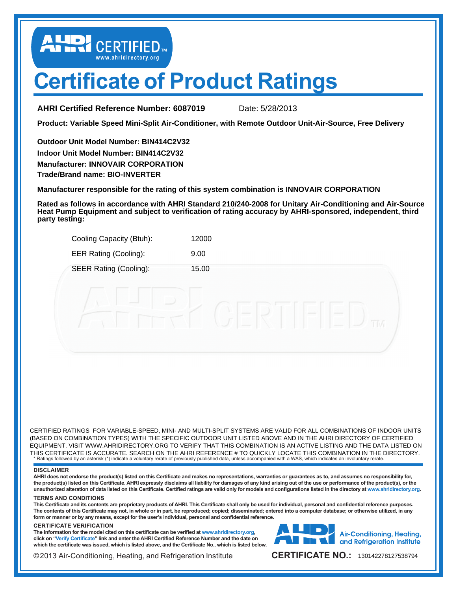LUD CERTIFIED

# **Certificate of Product Ratings**

**AHRI Certified Reference Number: 6087019** Date: 5/28/2013

**Product: Variable Speed Mini-Split Air-Conditioner, with Remote Outdoor Unit-Air-Source, Free Delivery**

**Outdoor Unit Model Number: BIN414C2V32 Indoor Unit Model Number: BIN414C2V32 Manufacturer: INNOVAIR CORPORATION Trade/Brand name: BIO-INVERTER**

**Manufacturer responsible for the rating of this system combination is INNOVAIR CORPORATION**

**Rated as follows in accordance with AHRI Standard 210/240-2008 for Unitary Air-Conditioning and Air-Source Heat Pump Equipment and subject to verification of rating accuracy by AHRI-sponsored, independent, third party testing:**

| Cooling Capacity (Btuh):      | 12000                                             |
|-------------------------------|---------------------------------------------------|
| <b>EER Rating (Cooling):</b>  | 9.00                                              |
| <b>SEER Rating (Cooling):</b> | 15.00                                             |
|                               | -----<br><b>SCHOOL</b><br>2012/05/07<br>TTV.<br>- |

\* Ratings followed by an asterisk (\*) indicate a voluntary rerate of previously published data, unless accompanied with a WAS, which indicates an involuntary rerate. CERTIFIED RATINGS FOR VARIABLE-SPEED, MINI- AND MULTI-SPLIT SYSTEMS ARE VALID FOR ALL COMBINATIONS OF INDOOR UNITS (BASED ON COMBINATION TYPES) WITH THE SPECIFIC OUTDOOR UNIT LISTED ABOVE AND IN THE AHRI DIRECTORY OF CERTIFIED EQUIPMENT. VISIT WWW.AHRIDIRECTORY.ORG TO VERIFY THAT THIS COMBINATION IS AN ACTIVE LISTING AND THE DATA LISTED ON THIS CERTIFICATE IS ACCURATE. SEARCH ON THE AHRI REFERENCE # TO QUICKLY LOCATE THIS COMBINATION IN THE DIRECTORY.

### **DISCLAIMER**

**AHRI does not endorse the product(s) listed on this Certificate and makes no representations, warranties or guarantees as to, and assumes no responsibility for, the product(s) listed on this Certificate. AHRI expressly disclaims all liability for damages of any kind arising out of the use or performance of the product(s), or the unauthorized alteration of data listed on this Certificate. Certified ratings are valid only for models and configurations listed in the directory at [www.ahridirectory.org.](www.ahridirectory.org)** 

### **TERMS AND CONDITIONS**

**This Certificate and its contents are proprietary products of AHRI. This Certificate shall only be used for individual, personal and confidential reference purposes. The contents of this Certificate may not, in whole or in part, be reproduced; copied; disseminated; entered into a computer database; or otherwise utilized, in any form or manner or by any means, except for the user's individual, personal and confidential reference.**

#### **CERTIFICATE VERIFICATION**

**The information for the model cited on this certificate can be verified at<www.ahridirectory.org>, click on "[Verify Certificate](http://www.ahridirectory.org/ahridirectory/pages/VerifyCertificate)" link and enter the AHRI Certified Reference Number and the date on which the certificate was issued, which is listed above, and the Certificate No., which is listed below.**



©2013 Air-Conditioning, Heating, and Refrigeration Institute

CERTIFICATE NO.: 130142278127538794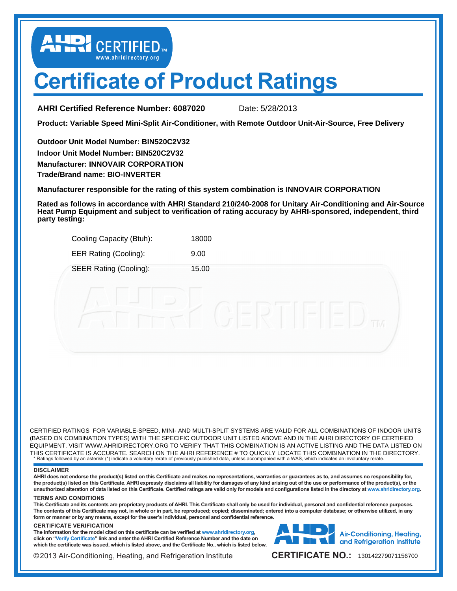LUD CERTIFIED

# **Certificate of Product Ratings**

**AHRI Certified Reference Number: 6087020** Date: 5/28/2013

**Product: Variable Speed Mini-Split Air-Conditioner, with Remote Outdoor Unit-Air-Source, Free Delivery**

**Outdoor Unit Model Number: BIN520C2V32 Indoor Unit Model Number: BIN520C2V32 Manufacturer: INNOVAIR CORPORATION Trade/Brand name: BIO-INVERTER**

**Manufacturer responsible for the rating of this system combination is INNOVAIR CORPORATION**

**Rated as follows in accordance with AHRI Standard 210/240-2008 for Unitary Air-Conditioning and Air-Source Heat Pump Equipment and subject to verification of rating accuracy by AHRI-sponsored, independent, third party testing:**

| Cooling Capacity (Btuh):      | 18000                                                |  |
|-------------------------------|------------------------------------------------------|--|
| <b>EER Rating (Cooling):</b>  | 9.00                                                 |  |
| <b>SEER Rating (Cooling):</b> | 15.00                                                |  |
|                               |                                                      |  |
|                               | -<br><b>SERVICE</b><br><b>SERVICE</b><br>TM<br>----- |  |
|                               |                                                      |  |

\* Ratings followed by an asterisk (\*) indicate a voluntary rerate of previously published data, unless accompanied with a WAS, which indicates an involuntary rerate. CERTIFIED RATINGS FOR VARIABLE-SPEED, MINI- AND MULTI-SPLIT SYSTEMS ARE VALID FOR ALL COMBINATIONS OF INDOOR UNITS (BASED ON COMBINATION TYPES) WITH THE SPECIFIC OUTDOOR UNIT LISTED ABOVE AND IN THE AHRI DIRECTORY OF CERTIFIED EQUIPMENT. VISIT WWW.AHRIDIRECTORY.ORG TO VERIFY THAT THIS COMBINATION IS AN ACTIVE LISTING AND THE DATA LISTED ON THIS CERTIFICATE IS ACCURATE. SEARCH ON THE AHRI REFERENCE # TO QUICKLY LOCATE THIS COMBINATION IN THE DIRECTORY.

#### **DISCLAIMER**

**AHRI does not endorse the product(s) listed on this Certificate and makes no representations, warranties or guarantees as to, and assumes no responsibility for, the product(s) listed on this Certificate. AHRI expressly disclaims all liability for damages of any kind arising out of the use or performance of the product(s), or the unauthorized alteration of data listed on this Certificate. Certified ratings are valid only for models and configurations listed in the directory at [www.ahridirectory.org.](www.ahridirectory.org)** 

### **TERMS AND CONDITIONS**

**This Certificate and its contents are proprietary products of AHRI. This Certificate shall only be used for individual, personal and confidential reference purposes. The contents of this Certificate may not, in whole or in part, be reproduced; copied; disseminated; entered into a computer database; or otherwise utilized, in any form or manner or by any means, except for the user's individual, personal and confidential reference.**

#### **CERTIFICATE VERIFICATION**

**The information for the model cited on this certificate can be verified at<www.ahridirectory.org>, click on "[Verify Certificate](http://www.ahridirectory.org/ahridirectory/pages/VerifyCertificate)" link and enter the AHRI Certified Reference Number and the date on which the certificate was issued, which is listed above, and the Certificate No., which is listed below.**



©2013 Air-Conditioning, Heating, and Refrigeration Institute

CERTIFICATE NO.: 130142279071156700